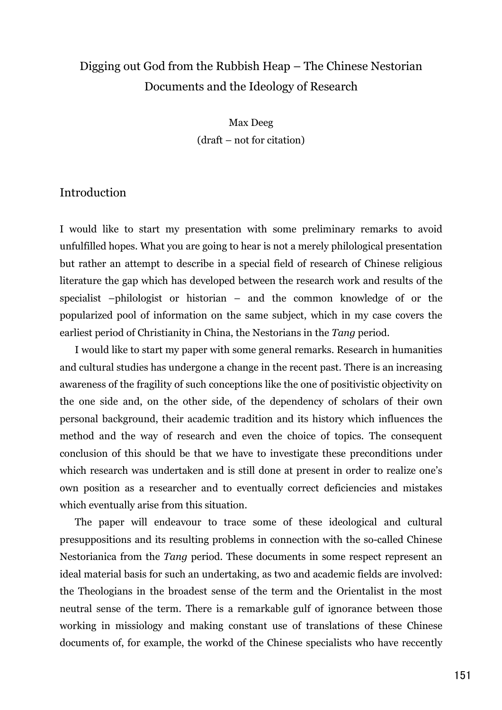# Digging out God from the Rubbish Heap – The Chinese Nestorian Documents and the Ideology of Research

Max Deeg  $(draff - not for citation)$ 

### Introduction

I would like to start my presentation with some preliminary remarks to avoid unfulfilled hopes. What you are going to hear is not a merely philological presentation but rather an attempt to describe in a special field of research of Chinese religious literature the gap which has developed between the research work and results of the specialist -philologist or historian - and the common knowledge of or the popularized pool of information on the same subject, which in my case covers the earliest period of Christianity in China, the Nestorians in the Tang period.

I would like to start my paper with some general remarks. Research in humanities and cultural studies has undergone a change in the recent past. There is an increasing awareness of the fragility of such conceptions like the one of positivistic objectivity on the one side and, on the other side, of the dependency of scholars of their own personal background, their academic tradition and its history which influences the method and the way of research and even the choice of topics. The consequent conclusion of this should be that we have to investigate these preconditions under which research was undertaken and is still done at present in order to realize one's own position as a researcher and to eventually correct deficiencies and mistakes which eventually arise from this situation.

The paper will endeavour to trace some of these ideological and cultural presuppositions and its resulting problems in connection with the so-called Chinese Nestorianica from the Tang period. These documents in some respect represent an ideal material basis for such an undertaking, as two and academic fields are involved: the Theologians in the broadest sense of the term and the Orientalist in the most neutral sense of the term. There is a remarkable gulf of ignorance between those working in missiology and making constant use of translations of these Chinese documents of, for example, the workd of the Chinese specialists who have reccently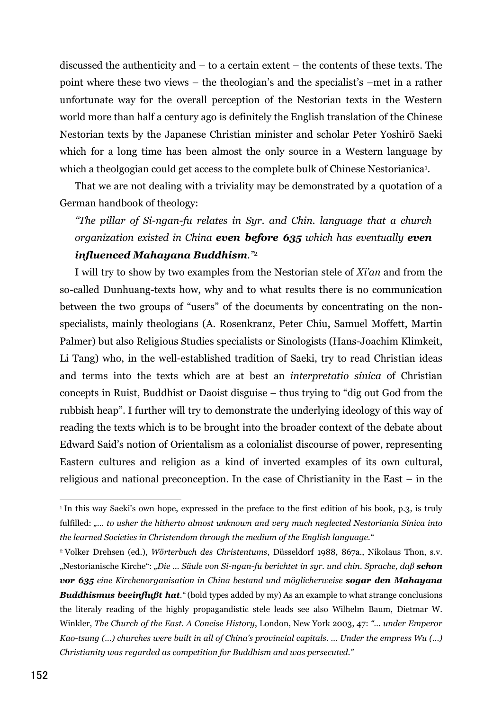discussed the authenticity and  $-$  to a certain extent  $-$  the contents of these texts. The point where these two views – the theologian's and the specialist's –met in a rather unfortunate way for the overall perception of the Nestorian texts in the Western world more than half a century ago is definitely the English translation of the Chinese Nestorian texts by the Japanese Christian minister and scholar Peter Yoshirō Saeki which for a long time has been almost the only source in a Western language by which a theolgogian could get access to the complete bulk of Chinese Nestorianica<sup>1</sup>.

That we are not dealing with a triviality may be demonstrated by a quotation of a German handbook of theology:

"The pillar of Si-ngan-fu relates in Syr. and Chin. language that a church organization existed in China even before 635 which has eventually even influenced Mahayana Buddhism."2

I will try to show by two examples from the Nestorian stele of Xi'an and from the so-called Dunhuang-texts how, why and to what results there is no communication between the two groups of "users" of the documents by concentrating on the nonspecialists, mainly theologians (A. Rosenkranz, Peter Chiu, Samuel Moffett, Martin Palmer) but also Religious Studies specialists or Sinologists (Hans-Joachim Klimkeit, Li Tang) who, in the well-established tradition of Saeki, try to read Christian ideas and terms into the texts which are at best an *interpretatio sinica* of Christian concepts in Ruist, Buddhist or Daoist disguise – thus trying to "dig out God from the rubbish heap". I further will try to demonstrate the underlying ideology of this way of reading the texts which is to be brought into the broader context of the debate about Edward Said's notion of Orientalism as a colonialist discourse of power, representing Eastern cultures and religion as a kind of inverted examples of its own cultural, religious and national preconception. In the case of Christianity in the East  $-$  in the

<sup>&</sup>lt;sup>1</sup> In this way Saeki's own hope, expressed in the preface to the first edition of his book, p.3, is truly fulfilled: ..... to usher the hitherto almost unknown and very much neglected Nestoriania Sinica into the learned Societies in Christendom through the medium of the English language."

<sup>&</sup>lt;sup>2</sup> Volker Drehsen (ed.), Wörterbuch des Christentums, Düsseldorf 1988, 867a., Nikolaus Thon, s.v. "Nestorianische Kirche": "Die ... Säule von Si-ngan-fu berichtet in syr. und chin. Sprache, daß schon vor 635 eine Kirchenorganisation in China bestand und möglicherweise sogar den Mahayana **Buddhismus beeinflußt hat.** "(bold types added by my) As an example to what strange conclusions the literaly reading of the highly propagandistic stele leads see also Wilhelm Baum, Dietmar W. Winkler, The Church of the East. A Concise History, London, New York 2003, 47: "... under Emperor Kao-tsung  $(...)$  churches were built in all of China's provincial capitals. ... Under the empress  $W_u$   $(...)$ Christianity was regarded as competition for Buddhism and was persecuted."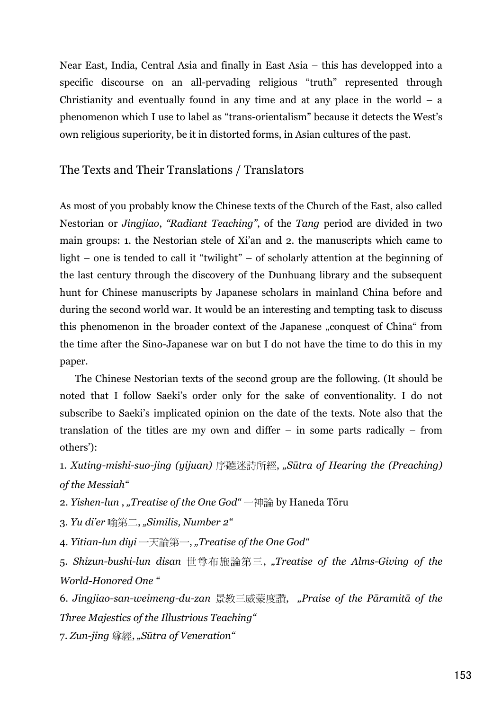Near East, India, Central Asia and finally in East Asia – this has developped into a specific discourse on an all-pervading religious "truth" represented through Christianity and eventually found in any time and at any place in the world  $-$  a phenomenon which I use to label as "trans-orientalism" because it detects the West's own religious superiority, be it in distorted forms, in Asian cultures of the past.

### The Texts and Their Translations / Translators

As most of you probably know the Chinese texts of the Church of the East, also called Nestorian or *Jingjiao*, "Radiant Teaching", of the Tang period are divided in two main groups: 1. the Nestorian stele of Xi'an and 2. the manuscripts which came to light – one is tended to call it "twilight" – of scholarly attention at the beginning of the last century through the discovery of the Dunhuang library and the subsequent hunt for Chinese manuscripts by Japanese scholars in mainland China before and during the second world war. It would be an interesting and tempting task to discuss this phenomenon in the broader context of the Japanese "conquest of China" from the time after the Sino-Japanese war on but I do not have the time to do this in my paper.

The Chinese Nestorian texts of the second group are the following. (It should be noted that I follow Saeki's order only for the sake of conventionality. I do not subscribe to Saeki's implicated opinion on the date of the texts. Note also that the translation of the titles are my own and differ  $-$  in some parts radically  $-$  from others'):

1. Xuting-mishi-suo-jing (yijuan) 序聽迷詩所經, "Sūtra of Hearing the (Preaching) of the Messiah"

2. Yishen-lun, "Treatise of the One God" 一神論 by Haneda Tōru

3. Yu di'er 喻第二, "Similis, Number 2"

4. Yitian-lun diyi 一天論第一, "Treatise of the One God"

5. Shizun-bushi-lun disan 世尊布施論第三, "Treatise of the Alms-Giving of the **World-Honored One "** 

6. Jingjiao-san-weimeng-du-zan 景教三威蒙度讚, "Praise of the Pāramitā of the Three Majestics of the Illustrious Teaching"

7. Zun-jing 尊經, "Sūtra of Veneration"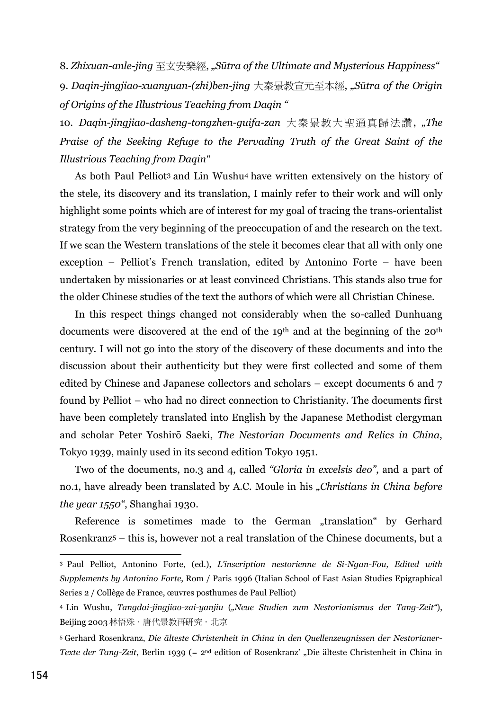8. Zhixuan-anle-jing 至玄安樂經, "Sūtra of the Ultimate and Mysterious Happiness" 9. Daqin-jingjiao-xuanyuan-(zhi)ben-jing 大秦景教宣元至本經, "Sūtra of the Origin of Origins of the Illustrious Teaching from Dagin "

10. Daqin-jingjiao-dasheng-tongzhen-guifa-zan 大秦景教大聖通真歸法讚, "The Praise of the Seeking Refuge to the Pervading Truth of the Great Saint of the Illustrious Teaching from Dagin"

As both Paul Pelliot<sup>3</sup> and Lin Wushu<sup>4</sup> have written extensively on the history of the stele, its discovery and its translation, I mainly refer to their work and will only highlight some points which are of interest for my goal of tracing the trans-orientalist strategy from the very beginning of the preoccupation of and the research on the text. If we scan the Western translations of the stele it becomes clear that all with only one exception – Pelliot's French translation, edited by Antonino Forte – have been undertaken by missionaries or at least convinced Christians. This stands also true for the older Chinese studies of the text the authors of which were all Christian Chinese.

In this respect things changed not considerably when the so-called Dunhuang documents were discovered at the end of the 19<sup>th</sup> and at the beginning of the 20<sup>th</sup> century. I will not go into the story of the discovery of these documents and into the discussion about their authenticity but they were first collected and some of them edited by Chinese and Japanese collectors and scholars – except documents 6 and 7 found by Pelliot – who had no direct connection to Christianity. The documents first have been completely translated into English by the Japanese Methodist clergyman and scholar Peter Yoshirō Saeki, The Nestorian Documents and Relics in China, Tokyo 1939, mainly used in its second edition Tokyo 1951.

Two of the documents, no.3 and 4, called "Gloria in excelsis deo", and a part of no.1, have already been translated by A.C. Moule in his "Christians in China before the year 1550", Shanghai 1930.

Reference is sometimes made to the German "translation" by Gerhard Rosenkranz<sup>5</sup> – this is, however not a real translation of the Chinese documents, but a

<sup>&</sup>lt;sup>3</sup> Paul Pelliot, Antonino Forte, (ed.), L'inscription nestorienne de Si-Ngan-Fou, Edited with Supplements by Antonino Forte, Rom / Paris 1996 (Italian School of East Asian Studies Epigraphical Series 2 / Collège de France, œuvres posthumes de Paul Pelliot)

<sup>4</sup> Lin Wushu, Tangdai-jingjiao-zai-yanjiu ("Neue Studien zum Nestorianismus der Tang-Zeit"), Beijing 2003 林悟殊,唐代景教再研究,北京

<sup>&</sup>lt;sup>5</sup> Gerhard Rosenkranz, Die älteste Christenheit in China in den Quellenzeugnissen der Nestorianer-Texte der Tang-Zeit, Berlin 1939 (= 2<sup>nd</sup> edition of Rosenkranz' "Die älteste Christenheit in China in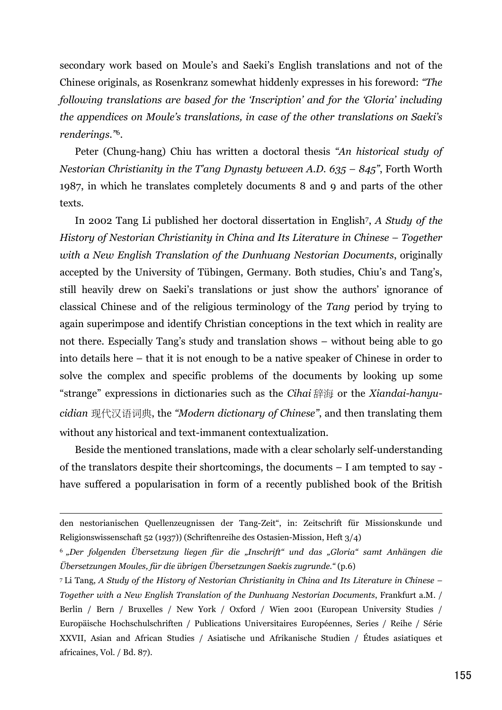secondary work based on Moule's and Saeki's English translations and not of the Chinese originals, as Rosenkranz somewhat hiddenly expresses in his foreword: "The following translations are based for the 'Inscription' and for the 'Gloria' including the appendices on Moule's translations, in case of the other translations on Saeki's renderings."<sup>6</sup>.

Peter (Chung-hang) Chiu has written a doctoral thesis "An historical study of Nestorian Christianity in the T'ang Dynasty between A.D.  $635 - 845$ ", Forth Worth 1987, in which he translates completely documents 8 and 9 and parts of the other texts.

In 2002 Tang Li published her doctoral dissertation in English<sup>7</sup>, A Study of the History of Nestorian Christianity in China and Its Literature in Chinese - Together with a New English Translation of the Dunhuang Nestorian Documents, originally accepted by the University of Tübingen, Germany. Both studies, Chiu's and Tang's, still heavily drew on Saeki's translations or just show the authors' ignorance of classical Chinese and of the religious terminology of the Tang period by trying to again superimpose and identify Christian conceptions in the text which in reality are not there. Especially Tang's study and translation shows – without being able to go into details here – that it is not enough to be a native speaker of Chinese in order to solve the complex and specific problems of the documents by looking up some "strange" expressions in dictionaries such as the Cihai辞海 or the Xiandai-hanyucidian 现代汉语词典, the "Modern dictionary of Chinese", and then translating them without any historical and text-immanent contextualization.

Beside the mentioned translations, made with a clear scholarly self-understanding of the translators despite their shortcomings, the documents – I am tempted to say have suffered a popularisation in form of a recently published book of the British

den nestorianischen Quellenzeugnissen der Tang-Zeit", in: Zeitschrift für Missionskunde und Religionswissenschaft 52 (1937)) (Schriftenreihe des Ostasien-Mission, Heft 3/4)

<sup>&</sup>lt;sup>6</sup> "Der folgenden Übersetzung liegen für die "Inschrift" und das "Gloria" samt Anhängen die Übersetzungen Moules, für die übrigen Übersetzungen Saekis zugrunde." (p.6)

<sup>&</sup>lt;sup>7</sup> Li Tang, A Study of the History of Nestorian Christianity in China and Its Literature in Chinese – Together with a New English Translation of the Dunhuang Nestorian Documents, Frankfurt a.M. / Berlin / Bern / Bruxelles / New York / Oxford / Wien 2001 (European University Studies / Europäische Hochschulschriften / Publications Universitaires Européennes, Series / Reihe / Série XXVII, Asian and African Studies / Asiatische und Afrikanische Studien / Études asiatiques et africaines, Vol. / Bd. 87).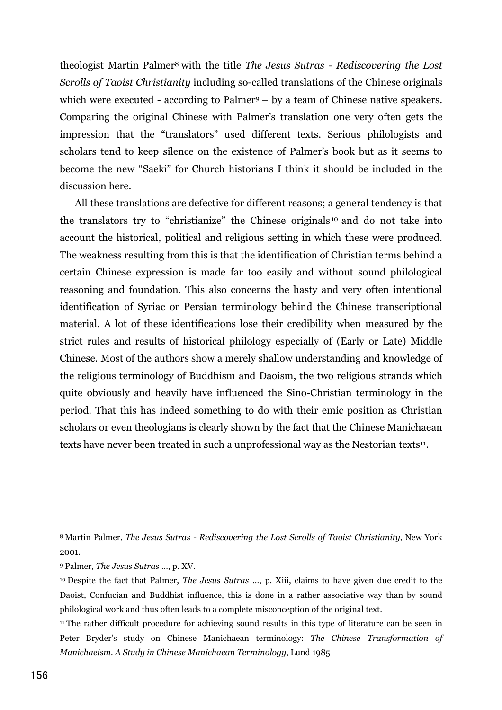theologist Martin Palmer<sup>8</sup> with the title The Jesus Sutras - Rediscovering the Lost Serolls of Taoist Christianity including so-called translations of the Chinese originals which were executed - according to Palmer<sup>9</sup>  $-$  by a team of Chinese native speakers. Comparing the original Chinese with Palmer's translation one very often gets the impression that the "translators" used different texts. Serious philologists and scholars tend to keep silence on the existence of Palmer's book but as it seems to become the new "Saeki" for Church historians I think it should be included in the discussion here.

All these translations are defective for different reasons; a general tendency is that the translators try to "christianize" the Chinese originals<sup>10</sup> and do not take into account the historical, political and religious setting in which these were produced. The weakness resulting from this is that the identification of Christian terms behind a certain Chinese expression is made far too easily and without sound philological reasoning and foundation. This also concerns the hasty and very often intentional identification of Syriac or Persian terminology behind the Chinese transcriptional material. A lot of these identifications lose their credibility when measured by the strict rules and results of historical philology especially of (Early or Late) Middle Chinese. Most of the authors show a merely shallow understanding and knowledge of the religious terminology of Buddhism and Daoism, the two religious strands which quite obviously and heavily have influenced the Sino-Christian terminology in the period. That this has indeed something to do with their emic position as Christian scholars or even theologians is clearly shown by the fact that the Chinese Manichaean texts have never been treated in such a unprofessional way as the Nestorian texts<sup>11</sup>.

<sup>&</sup>lt;sup>8</sup> Martin Palmer, *The Jesus Sutras - Rediscovering the Lost Scrolls of Taoist Christianity*, New York 2001.

<sup>&</sup>lt;sup>9</sup> Palmer, *The Jesus Sutras* ..., p. XV.

<sup>&</sup>lt;sup>10</sup> Despite the fact that Palmer, *The Jesus Sutras* ..., p. Xiii, claims to have given due credit to the Daoist, Confucian and Buddhist influence, this is done in a rather associative way than by sound philological work and thus often leads to a complete misconception of the original text.

<sup>&</sup>lt;sup>11</sup> The rather difficult procedure for achieving sound results in this type of literature can be seen in Peter Bryder's study on Chinese Manichaean terminology: The Chinese Transformation of Manichaeism. A Study in Chinese Manichaean Terminology, Lund 1985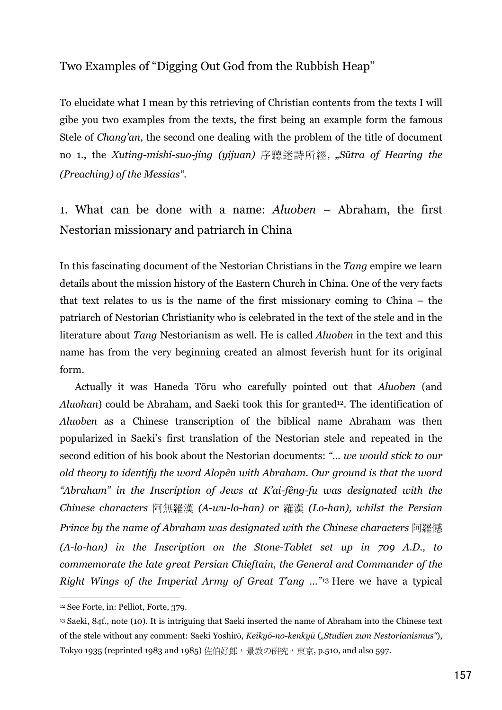### Two Examples of "Digging Out God from the Rubbish Heap"

To elucidate what I mean by this retrieving of Christian contents from the texts I will gibe you two examples from the texts, the first being an example form the famous Stele of *Chang'an*, the second one dealing with the problem of the title of document no 1., the Xuting-mishi-suo-jing (yijuan) 序聽迷詩所經, "Sūtra of Hearing the (Preaching) of the Messias".

1. What can be done with a name: Aluoben – Abraham, the first Nestorian missionary and patriarch in China

In this fascinating document of the Nestorian Christians in the Tang empire we learn details about the mission history of the Eastern Church in China. One of the very facts that text relates to us is the name of the first missionary coming to China  $-$  the patriarch of Nestorian Christianity who is celebrated in the text of the stele and in the literature about Tang Nestorianism as well. He is called *Aluoben* in the text and this name has from the very beginning created an almost feverish hunt for its original form.

Actually it was Haneda Toru who carefully pointed out that Aluoben (and Aluohan) could be Abraham, and Saeki took this for granted<sup>12</sup>. The identification of Aluoben as a Chinese transcription of the biblical name Abraham was then popularized in Saeki's first translation of the Nestorian stele and repeated in the second edition of his book about the Nestorian documents: "... we would stick to our old theory to identify the word Alopên with Abraham. Our ground is that the word "Abraham" in the Inscription of Jews at K'ai-fêng-fu was designated with the Chinese characters 阿無羅漢 (A-wu-lo-han) or 羅漢 (Lo-han), whilst the Persian Prince by the name of Abraham was designated with the Chinese characters 阿羅憾 (A-lo-han) in the Inscription on the Stone-Tablet set up in 709 A.D., to commemorate the late great Persian Chieftain, the General and Commander of the Right Wings of the Imperial Army of Great T'ang ..."<sup>13</sup> Here we have a typical

<sup>&</sup>lt;sup>12</sup> See Forte, in: Pelliot, Forte, 379.

<sup>&</sup>lt;sup>13</sup> Saeki, 84f., note (10). It is intriguing that Saeki inserted the name of Abraham into the Chinese text of the stele without any comment: Saeki Yoshirō, Keikyō-no-kenkyū ("Studien zum Nestorianismus"), Tokyo 1935 (reprinted 1983 and 1985) 佐伯好郎, 景教の研究, 東京, p.510, and also 597.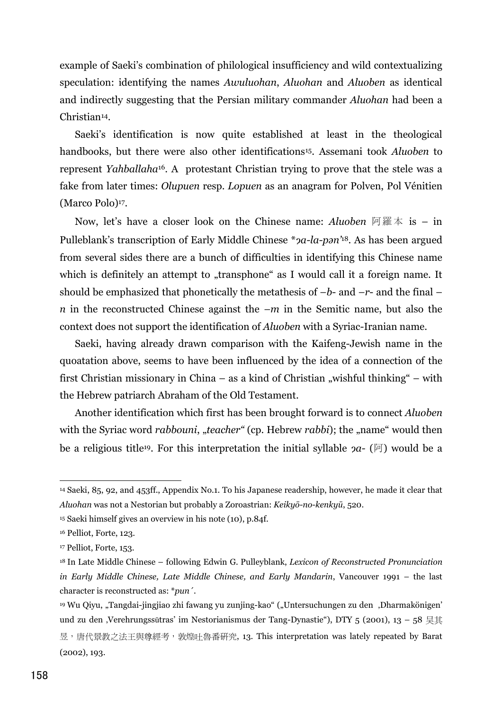example of Saeki's combination of philological insufficiency and wild contextualizing speculation: identifying the names Awuluohan, Aluohan and Aluoben as identical and indirectly suggesting that the Persian military commander *Aluohan* had been a Christian<sup>14</sup>.

Saeki's identification is now quite established at least in the theological handbooks, but there were also other identifications<sup>15</sup>. Assemani took *Aluoben* to represent Yahballaha<sup>16</sup>. A protestant Christian trying to prove that the stele was a fake from later times: Olupuen resp. Lopuen as an anagram for Polven, Pol Vénitien (Marco Polo)<sup>17</sup>.

Now, let's have a closer look on the Chinese name: Aluoben  $\Im \overline{\mathbb{R}} \neq \overline{\mathbb{R}}$  is  $-$  in Pulleblank's transcription of Early Middle Chinese \*2a-la-pan<sup>'18</sup>. As has been argued from several sides there are a bunch of difficulties in identifying this Chinese name which is definitely an attempt to "transphone" as I would call it a foreign name. It should be emphasized that phonetically the metathesis of  $-b$ - and  $-r$ - and the final  $$ *n* in the reconstructed Chinese against the  $-m$  in the Semitic name, but also the context does not support the identification of *Aluoben* with a Syriac-Iranian name.

Saeki, having already drawn comparison with the Kaifeng-Jewish name in the quoatation above, seems to have been influenced by the idea of a connection of the first Christian missionary in China – as a kind of Christian "wishful thinking" – with the Hebrew patriarch Abraham of the Old Testament.

Another identification which first has been brought forward is to connect Aluoben with the Syriac word *rabbouni*, "*teacher"* (cp. Hebrew *rabbi*); the "name" would then be a religious title<sup>19</sup>. For this interpretation the initial syllable  $2a-$  ( $\overline{p}$ ) would be a

<sup>&</sup>lt;sup>14</sup> Saeki, 85, 92, and 453ff., Appendix No.1. To his Japanese readership, however, he made it clear that Aluohan was not a Nestorian but probably a Zoroastrian: Keikyō-no-kenkyū, 520.

<sup>&</sup>lt;sup>15</sup> Saeki himself gives an overview in his note (10), p.84f.

<sup>&</sup>lt;sup>16</sup> Pelliot, Forte, 123.

<sup>&</sup>lt;sup>17</sup> Pelliot, Forte, 153.

<sup>&</sup>lt;sup>18</sup> In Late Middle Chinese – following Edwin G. Pulleyblank, Lexicon of Reconstructed Pronunciation in Early Middle Chinese, Late Middle Chinese, and Early Mandarin, Vancouver 1991 – the last character is reconstructed as: \*pun'.

<sup>&</sup>lt;sup>19</sup> Wu Qiyu, "Tangdai-jingjiao zhi fawang yu zunjing-kao" ("Untersuchungen zu den "Dharmakönigen" und zu den "Verehrungssütras' im Nestorianismus der Tang-Dynastie"), DTY 5 (2001), 13 – 58 昊其 昱,唐代景教之法王與尊經考,敦煌吐魯番研究, 13. This interpretation was lately repeated by Barat  $(2002), 193.$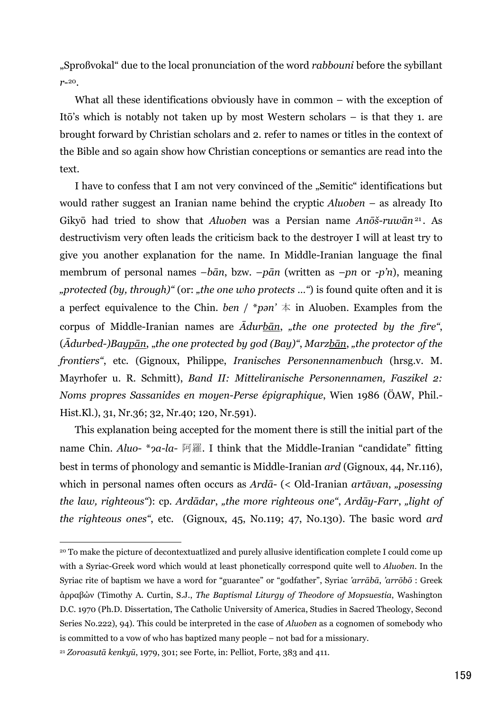"Sproßvokal" due to the local pronunciation of the word *rabbouni* before the sybillant  $r_{-}^{20}$ .

What all these identifications obviously have in common  $-$  with the exception of Itō's which is notably not taken up by most Western scholars – is that they 1, are brought forward by Christian scholars and 2. refer to names or titles in the context of the Bible and so again show how Christian conceptions or semantics are read into the text.

I have to confess that I am not very convinced of the "Semitic" identifications but would rather suggest an Iranian name behind the cryptic  $Aluoben -$  as already Ito Gikyō had tried to show that Aluoben was a Persian name Anōš-ruwān<sup>21</sup>. As destructivism very often leads the criticism back to the destroyer I will at least try to give you another explanation for the name. In Middle-Iranian language the final membrum of personal names  $-b\bar{a}n$ , bzw.  $-p\bar{a}n$  (written as  $-pn$  or  $-p\bar{n}$ ), meaning "protected (by, through)" (or: "the one who protects ...") is found quite often and it is a perfect equivalence to the Chin. ben / \*pan'  $\pm$  in Aluoben. Examples from the corpus of Middle-Iranian names are  $\bar{A}$ durban, "the one protected by the fire",  $(\bar{A}durbed-)Bayp\bar{a}n$ , "the one protected by god  $(Bay)$ ", Marzb $\bar{a}n$ , "the protector of the frontiers", etc. (Gignoux, Philippe, Iranisches Personennamenbuch (hrsg.v. M. Mayrhofer u. R. Schmitt), Band II: Mitteliranische Personennamen, Faszikel 2: Noms propres Sassanides en moyen-Perse épigraphique, Wien 1986 (ÖAW, Phil.-Hist.Kl.), 31, Nr.36; 32, Nr.40; 120, Nr.591).

This explanation being accepted for the moment there is still the initial part of the name Chin. Aluo- \*2a-la- 阿羅. I think that the Middle-Iranian "candidate" fitting best in terms of phonology and semantic is Middle-Iranian *ard* (Gignoux, 44, Nr.116), which in personal names often occurs as  $Ard\bar{a}$ - (< Old-Iranian artāvan, "posessing the law, righteous"): cp. Ardādar, "the more righteous one", Ardāy-Farr, "light of the righteous ones", etc. (Gignoux, 45, No.119; 47, No.130). The basic word ard

<sup>&</sup>lt;sup>20</sup> To make the picture of decontextuatlized and purely allusive identification complete I could come up with a Syriac-Greek word which would at least phonetically correspond quite well to Aluoben. In the Syriac rite of baptism we have a word for "guarantee" or "godfather", Syriac 'arrābā, 'arrōbō : Greek άρραβών (Timothy A. Curtin, S.J., The Baptismal Liturgy of Theodore of Mopsuestia, Washington D.C. 1970 (Ph.D. Dissertation, The Catholic University of America, Studies in Sacred Theology, Second Series No.222), 94). This could be interpreted in the case of *Aluoben* as a cognomen of somebody who is committed to a vow of who has baptized many people – not bad for a missionary.

<sup>&</sup>lt;sup>21</sup> Zoroasutā kenkyū, 1979, 301; see Forte, in: Pelliot, Forte, 383 and 411.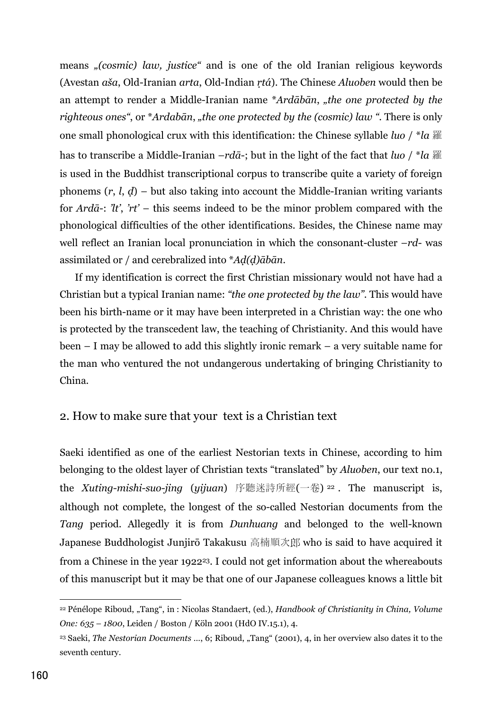means "(cosmic) law, justice" and is one of the old Iranian religious keywords (Avestan aša, Old-Iranian arta, Old-Indian rtá). The Chinese Aluoben would then be an attempt to render a Middle-Iranian name \*Ardābān, "the one protected by the righteous ones", or \*Ardabān, "the one protected by the (cosmic) law ". There is only one small phonological crux with this identification: the Chinese syllable *luo* /  $*$ *la*  $\mathbb{R}$ has to transcribe a Middle-Iranian  $-rd\bar{a}$ ; but in the light of the fact that *luo* / \**la*  $\mathbb{R}$ is used in the Buddhist transcriptional corpus to transcribe quite a variety of foreign phonems  $(r, l, d)$  – but also taking into account the Middle-Iranian writing variants for Ardā-: 'lt', 'rt' – this seems indeed to be the minor problem compared with the phonological difficulties of the other identifications. Besides, the Chinese name may well reflect an Iranian local pronunciation in which the consonant-cluster  $-rd$ - was assimilated or / and cerebralized into  $*Ad(d)\bar{a}b\bar{a}n$ .

If my identification is correct the first Christian missionary would not have had a Christian but a typical Iranian name: "the one protected by the law". This would have been his birth-name or it may have been interpreted in a Christian way: the one who is protected by the transcedent law, the teaching of Christianity. And this would have been  $-$  I may be allowed to add this slightly ironic remark  $-$  a very suitable name for the man who ventured the not undangerous undertaking of bringing Christianity to China.

#### 2. How to make sure that your text is a Christian text

Saeki identified as one of the earliest Nestorian texts in Chinese, according to him belonging to the oldest layer of Christian texts "translated" by Aluoben, our text no.1, the *Xuting-mishi-suo-jing* (yijuan) 序聽迷詩所經(一卷)<sup>22</sup>. The manuscript is, although not complete, the longest of the so-called Nestorian documents from the Tang period. Allegedly it is from Dunhuang and belonged to the well-known Japanese Buddhologist Junjirō Takakusu 高楠順次郎 who is said to have acquired it from a Chinese in the year 1922<sup>23</sup>. I could not get information about the whereabouts of this manuscript but it may be that one of our Japanese colleagues knows a little bit

<sup>&</sup>lt;sup>22</sup> Pénélope Riboud, "Tang", in: Nicolas Standaert, (ed.), *Handbook of Christianity in China*, *Volume* One: 635 - 1800, Leiden / Boston / Köln 2001 (HdO IV.15.1), 4.

<sup>&</sup>lt;sup>23</sup> Saeki, The Nestorian Documents ..., 6; Riboud, "Tang" (2001), 4, in her overview also dates it to the seventh century.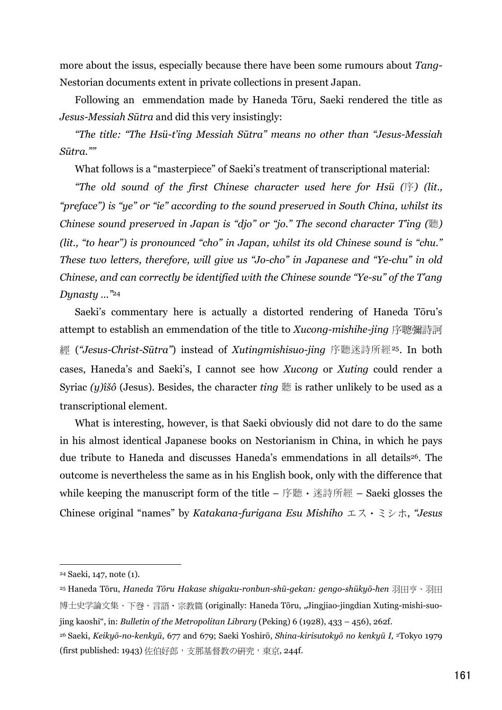more about the issus, especially because there have been some rumours about Tang-Nestorian documents extent in private collections in present Japan.

Following an emmendation made by Haneda Toru, Saeki rendered the title as Jesus-Messiah Sūtra and did this very insistingly:

"The title: "The Hsü-t'ing Messiah Sūtra" means no other than "Jesus-Messiah Sūtra.""

What follows is a "masterpiece" of Saeki's treatment of transcriptional material:

"The old sound of the first Chinese character used here for Hsü  $(\bar{F})$  (lit., "preface") is "ye" or "ie" according to the sound preserved in South China, whilst its Chinese sound preserved in Japan is "djo" or "jo." The second character T'ing  $(\mathbb{R})$ (lit., "to hear") is pronounced "cho" in Japan, whilst its old Chinese sound is "chu." These two letters, therefore, will give us "Jo-cho" in Japanese and "Ye-chu" in old Chinese, and can correctly be identified with the Chinese sounde "Ye-su" of the T'ang Dynasty ..."<sup>24</sup>

Saeki's commentary here is actually a distorted rendering of Haneda Toru's attempt to establish an emmendation of the title to Xucong-mishihe-jing 序聰彌詩訶 經 ("Jesus-Christ-Sūtra") instead of Xutingmishisuo-jing 序聽迷詩所經<sup>25</sup>. In both cases, Haneda's and Saeki's, I cannot see how *Xucong* or *Xuting* could render a Syriac (y) $\hat{a}\hat{b}$  (Jesus). Besides, the character ting  $\hat{a}\hat{b}$  is rather unlikely to be used as a transcriptional element.

What is interesting, however, is that Saeki obviously did not dare to do the same in his almost identical Japanese books on Nestorianism in China, in which he pays due tribute to Haneda and discusses Haneda's emmendations in all details<sup>26</sup>. The outcome is nevertheless the same as in his English book, only with the difference that while keeping the manuscript form of the title – 序聽 • 迷詩所經 – Saeki glosses the Chinese original "names" by Katakana-furigana Esu Mishiho  $\pm \lambda \cdot \xi$   $\rightarrow \pm \lambda$ , "Jesus

<sup>&</sup>lt;sup>24</sup> Saeki, 147, note (1).

<sup>&</sup>lt;sup>25</sup> Haneda Tōru, *Haneda Tōru Hakase shigaku-ronbun-shū-gekan: gengo-shūkyō-hen* 羽田亨、羽田 博士史学論文集、下巻、言語·宗教篇 (originally: Haneda Tōru, "Jingjiao-jingdian Xuting-mishi-suojing kaoshi", in: Bulletin of the Metropolitan Library (Peking)  $6(1928)$ ,  $433 - 456$ ,  $262f$ .

<sup>&</sup>lt;sup>26</sup> Saeki, Keikyō-no-kenkyū, 677 and 679; Saeki Yoshirō, Shina-kirisutokyō no kenkyū I, <sup>2</sup>Tokyo 1979 (first published: 1943) 佐伯好郎, 支那基督教の研究, 東京, 244f.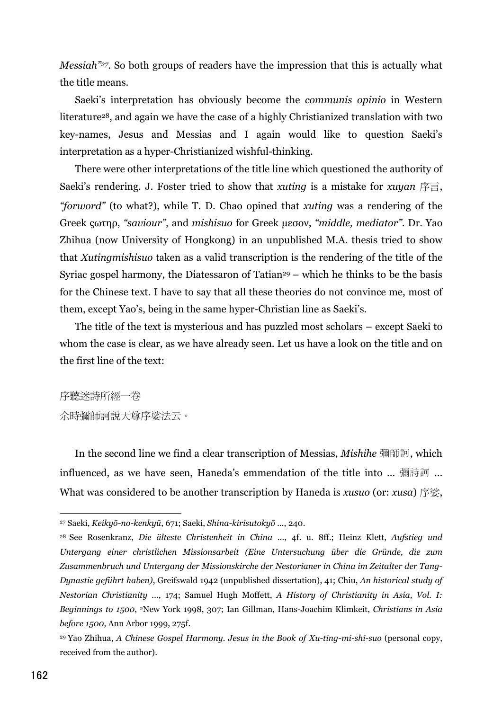*Messiah*"<sup>27</sup>. So both groups of readers have the impression that this is actually what the title means.

Saeki's interpretation has obviously become the *communis opinio* in Western literature<sup>28</sup>, and again we have the case of a highly Christianized translation with two key-names, Jesus and Messias and I again would like to question Saeki's interpretation as a hyper-Christianized wishful-thinking.

There were other interpretations of the title line which questioned the authority of Saeki's rendering. J. Foster tried to show that *xuting* is a mistake for *xuyan* 序言, "forword" (to what?), while T. D. Chao opined that xuting was a rendering of the Greek cornp, "saviour", and mishisuo for Greek μεσον, "middle, mediator". Dr. Yao Zhihua (now University of Hongkong) in an unpublished M.A. thesis tried to show that Xuting mishisuo taken as a valid transcription is the rendering of the title of the Syriac gospel harmony, the Diatessaron of Tatian<sup>29</sup> – which he thinks to be the basis for the Chinese text. I have to say that all these theories do not convince me, most of them, except Yao's, being in the same hyper-Christian line as Saeki's.

The title of the text is mysterious and has puzzled most scholars – except Saeki to whom the case is clear, as we have already seen. Let us have a look on the title and on the first line of the text:

序聽迷詩所經一卷 *众時彌師訶說天尊序娑法云*。

In the second line we find a clear transcription of Messias, *Mishihe* 彌師訶, which influenced, as we have seen, Haneda's emmendation of the title into ... 彌詩訶 ... What was considered to be another transcription by Haneda is xusuo (or: xusa)  $\ddot{\mathbb{F}}$   $\dddot{\mathbb{E}}$ ,

<sup>&</sup>lt;sup>27</sup> Saeki, Keikyō-no-kenkyū, 671; Saeki, Shina-kirisutokyō ..., 240.

<sup>&</sup>lt;sup>28</sup> See Rosenkranz, Die älteste Christenheit in China ..., 4f. u. 8ff.; Heinz Klett, Aufstieg und Untergang einer christlichen Missionsarbeit (Eine Untersuchung über die Gründe, die zum Zusammenbruch und Untergang der Missionskirche der Nestorianer in China im Zeitalter der Tang-Dynastie geführt haben), Greifswald 1942 (unpublished dissertation), 41; Chiu, An historical study of Nestorian Christianity ..., 174; Samuel Hugh Moffett, A History of Christianity in Asia, Vol. I: Beginnings to 1500, <sup>2</sup>New York 1998, 307; Ian Gillman, Hans-Joachim Klimkeit, Christians in Asia before 1500, Ann Arbor 1999, 275f.

<sup>&</sup>lt;sup>29</sup> Yao Zhihua, A Chinese Gospel Harmony. Jesus in the Book of Xu-ting-mi-shi-suo (personal copy, received from the author).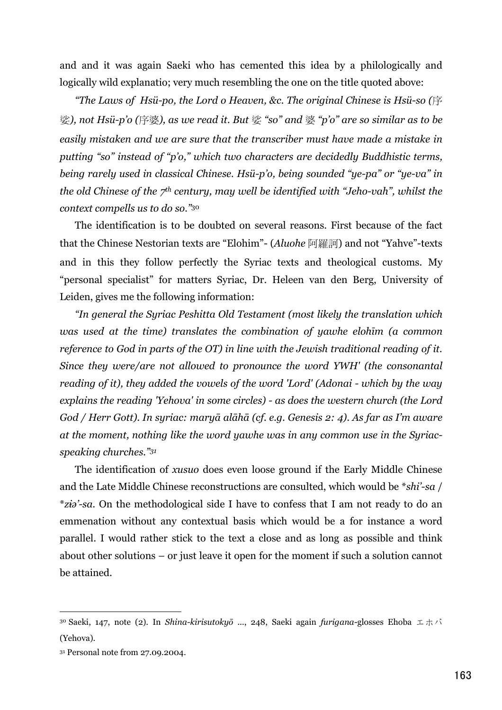and and it was again Saeki who has cemented this idea by a philologically and logically wild explanatio; very much resembling the one on the title quoted above:

"The Laws of Hsü-po, the Lord o Heaven, &c. The original Chinese is Hsü-so ( $\ddot{F}$ 娑), not Hsü-p'o (序婆), as we read it. But 娑 "so" and 婆 "p'o" are so similar as to be easily mistaken and we are sure that the transcriber must have made a mistake in putting "so" instead of "p'o," which two characters are decidedly Buddhistic terms, being rarely used in classical Chinese. Hsü-p'o, being sounded "ye-pa" or "ye-va" in the old Chinese of the  $7<sup>th</sup>$  century, may well be identified with "Jeho-vah", whilst the context compells us to do so."30

The identification is to be doubted on several reasons. First because of the fact that the Chinese Nestorian texts are "Elohim"- (Aluohe 阿羅訶) and not "Yahve"-texts and in this they follow perfectly the Syriac texts and theological customs. My "personal specialist" for matters Syriac, Dr. Heleen van den Berg, University of Leiden, gives me the following information:

"In general the Syriac Peshitta Old Testament (most likely the translation which was used at the time) translates the combination of yawhe elohim (a common reference to God in parts of the OT) in line with the Jewish traditional reading of it. Since they were/are not allowed to pronounce the word YWH' (the consonantal reading of it), they added the vowels of the word 'Lord' (Adonai - which by the way explains the reading 'Yehova' in some circles) - as does the western church (the Lord God / Herr Gott). In syriac: maryā alāhā (cf. e.g. Genesis 2: 4). As far as I'm aware at the moment, nothing like the word yawhe was in any common use in the Syriacspeaking churches."31

The identification of *xusuo* does even loose ground if the Early Middle Chinese and the Late Middle Chinese reconstructions are consulted, which would be \*shi'-sa / *\*zio'-sa*. On the methodological side I have to confess that I am not ready to do an emmenation without any contextual basis which would be a for instance a word parallel. I would rather stick to the text a close and as long as possible and think about other solutions  $-$  or just leave it open for the moment if such a solution cannot be attained.

<sup>30</sup> Saeki, 147, note (2). In Shina-kirisutokyō ..., 248, Saeki again furigana-glosses Ehoba  $\pm \pi$ (Yehova).

<sup>&</sup>lt;sup>31</sup> Personal note from 27.09.2004.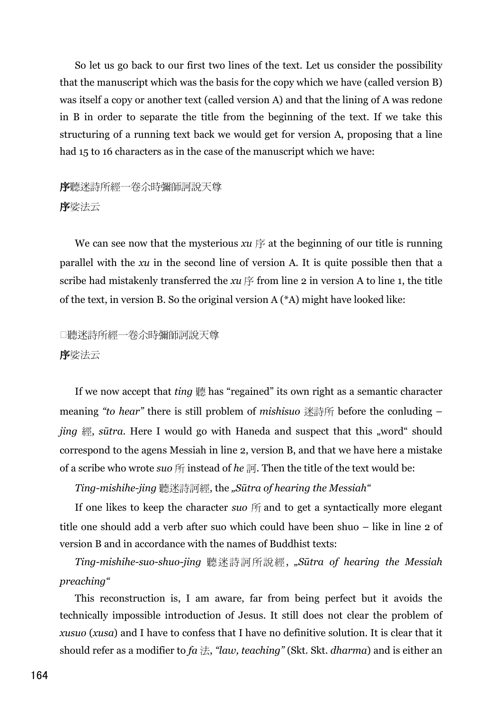So let us go back to our first two lines of the text. Let us consider the possibility that the manuscript which was the basis for the copy which we have (called version B) was itself a copy or another text (called version A) and that the lining of A was redone in B in order to separate the title from the beginning of the text. If we take this structuring of a running text back we would get for version A, proposing that a line had 15 to 16 characters as in the case of the manuscript which we have:

## 序聽迷詩所經一卷尒時彌師訶說天尊 序娑法云

We can see now that the mysterious  $xu \notin \mathbb{R}$  at the beginning of our title is running parallel with the  $x\overline{u}$  in the second line of version A. It is quite possible then that a scribe had mistakenly transferred the  $xu \notin f$  from line 2 in version A to line 1, the title of the text, in version B. So the original version  $A$  ( $^*A$ ) might have looked like:

## □聽迷詩所經一卷众時彌師訶說天尊 序娑法云

If we now accept that *ting* 聽 has "regained" its own right as a semantic character meaning "to hear" there is still problem of mishisuo 迷詩所 before the conluding – *jing* 經, *sūtra*. Here I would go with Haneda and suspect that this "word" should correspond to the agens Messiah in line 2, version B, and that we have here a mistake of a scribe who wrote suo  $\mathfrak H$  instead of he  $\mathfrak M$ . Then the title of the text would be:

Ting-mishihe-jing 聽迷詩訶經, the "Sūtra of hearing the Messiah"

If one likes to keep the character suo  $\mathfrak{m}$  and to get a syntactically more elegant title one should add a verb after suo which could have been shuo – like in line 2 of version B and in accordance with the names of Buddhist texts:

Ting-mishihe-suo-shuo-jing 聽迷詩訶所說經, "Sūtra of hearing the Messiah preaching"

This reconstruction is, I am aware, far from being perfect but it avoids the technically impossible introduction of Jesus. It still does not clear the problem of xusuo (xusa) and I have to confess that I have no definitive solution. It is clear that it should refer as a modifier to  $fa \nLeftrightarrow$ , "law, teaching" (Skt. Skt. dharma) and is either an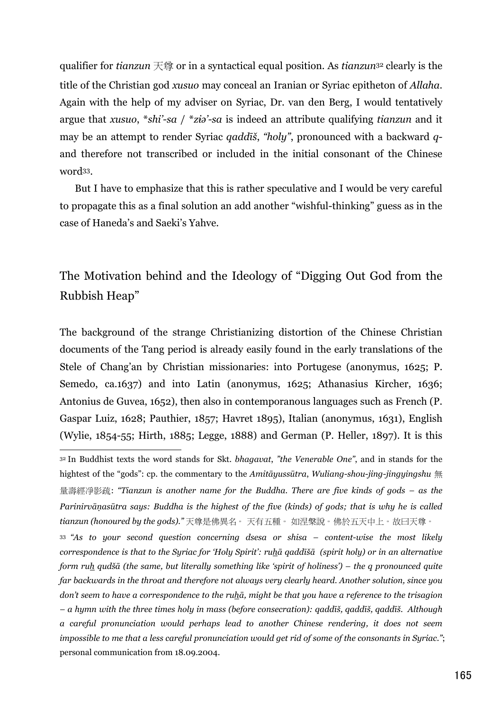qualifier for *tianzun*  $\overline{R}$  or in a syntactical equal position. As *tianzun*<sup>32</sup> clearly is the title of the Christian god *xusuo* may conceal an Iranian or Syriac epitheton of *Allaha*. Again with the help of my adviser on Syriac, Dr. van den Berg, I would tentatively argue that xusuo, \*shi'-sa / \*ziə'-sa is indeed an attribute qualifying tianzun and it may be an attempt to render Syriac *qaddiš*, "holy", pronounced with a backward *q*and therefore not transcribed or included in the initial consonant of the Chinese word<sup>33</sup>.

But I have to emphasize that this is rather speculative and I would be very careful to propagate this as a final solution an add another "wishful-thinking" guess as in the case of Haneda's and Saeki's Yahve.

## The Motivation behind and the Ideology of "Digging Out God from the Rubbish Heap"

The background of the strange Christianizing distortion of the Chinese Christian documents of the Tang period is already easily found in the early translations of the Stele of Chang'an by Christian missionaries: into Portugese (anonymus, 1625; P. Semedo, ca.1637) and into Latin (anonymus, 1625; Athanasius Kircher, 1636; Antonius de Guvea, 1652), then also in contemporanous languages such as French (P. Gaspar Luiz, 1628; Pauthier, 1857; Havret 1895), Italian (anonymus, 1631), English (Wylie, 1854-55; Hirth, 1885; Legge, 1888) and German (P. Heller, 1897). It is this

<sup>33</sup> "As to your second question concerning dsesa or shisa – content-wise the most likely correspondence is that to the Syriac for 'Holy Spirit': ruha gaddiša (spirit holy) or in an alternative form ruh qudšā (the same, but literally something like 'spirit of holiness') - the q pronounced quite far backwards in the throat and therefore not always very clearly heard. Another solution, since you don't seem to have a correspondence to the ruha, might be that you have a reference to the trisagion - a hymn with the three times holy in mass (before consecration): gaddīš, gaddīš, gaddīš. Although a careful pronunciation would perhaps lead to another Chinese rendering, it does not seem impossible to me that a less careful pronunciation would get rid of some of the consonants in Syriac."; personal communication from 18.09.2004.

<sup>32</sup> In Buddhist texts the word stands for Skt. bhagavat, "the Venerable One", and in stands for the hightest of the "gods": cp. the commentary to the Amitayussura, Wuliang-shou-jing-jingyingshu  $\#$ 量壽經淨影疏: "Tianzun is another name for the Buddha. There are five kinds of gods – as the Parinirvānasūtra says: Buddha is the highest of the five (kinds) of gods; that is why he is called tianzun (honoured by the gods)."天尊是佛異名。天有五種。如涅槃說。佛於五天中上。故曰天尊。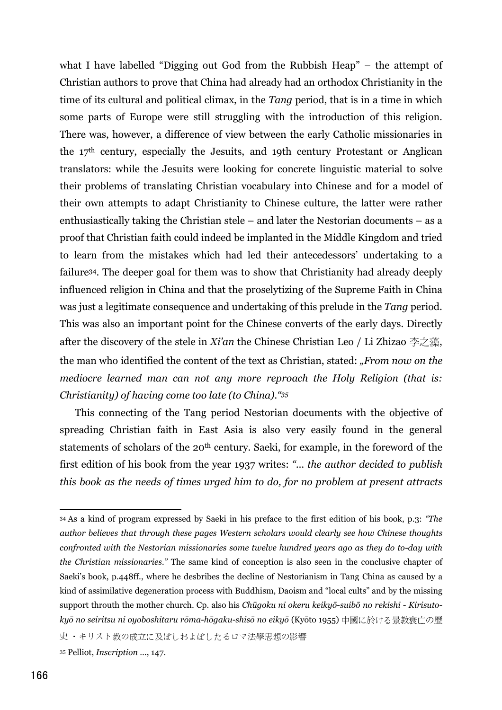what I have labelled "Digging out God from the Rubbish Heap"  $-$  the attempt of Christian authors to prove that China had already had an orthodox Christianity in the time of its cultural and political climax, in the Tang period, that is in a time in which some parts of Europe were still struggling with the introduction of this religion. There was, however, a difference of view between the early Catholic missionaries in the 17<sup>th</sup> century, especially the Jesuits, and 19th century Protestant or Anglican translators: while the Jesuits were looking for concrete linguistic material to solve their problems of translating Christian vocabulary into Chinese and for a model of their own attempts to adapt Christianity to Chinese culture, the latter were rather enthusiastically taking the Christian stele  $-$  and later the Nestorian documents  $-$  as a proof that Christian faith could indeed be implanted in the Middle Kingdom and tried to learn from the mistakes which had led their antecedessors' undertaking to a failure<sup>34</sup>. The deeper goal for them was to show that Christianity had already deeply influenced religion in China and that the proselytizing of the Supreme Faith in China was just a legitimate consequence and undertaking of this prelude in the Tang period. This was also an important point for the Chinese converts of the early days. Directly after the discovery of the stele in Xi'an the Chinese Christian Leo / Li Zhizao 李之藻, the man who identified the content of the text as Christian, stated: "From now on the mediocre learned man can not any more reproach the Holy Religion (that is: Christianity) of having come too late (to China). "35

This connecting of the Tang period Nestorian documents with the objective of spreading Christian faith in East Asia is also very easily found in the general statements of scholars of the 20<sup>th</sup> century. Saeki, for example, in the foreword of the first edition of his book from the year 1937 writes: "... the author decided to publish this book as the needs of times urged him to do, for no problem at present attracts

史·キリスト教の成立に及ぼしおよぼしたるロマ法學思想の影響

<sup>34</sup> As a kind of program expressed by Saeki in his preface to the first edition of his book, p.3: "The author believes that through these pages Western scholars would clearly see how Chinese thoughts confronted with the Nestorian missionaries some twelve hundred years ago as they do to-day with the Christian missionaries." The same kind of conception is also seen in the conclusive chapter of Saeki's book, p.448ff., where he desbribes the decline of Nestorianism in Tang China as caused by a kind of assimilative degeneration process with Buddhism, Daoism and "local cults" and by the missing support throuth the mother church. Cp. also his Chūgoku ni okeru keikyō-suibō no rekishi - Kirisutokyō no seiritsu ni oyoboshitaru rōma-hōgaku-shisō no eikyō (Kyōto 1955) 中國に於ける景教衰亡の歷

<sup>&</sup>lt;sup>35</sup> Pelliot, *Inscription* ..., 147.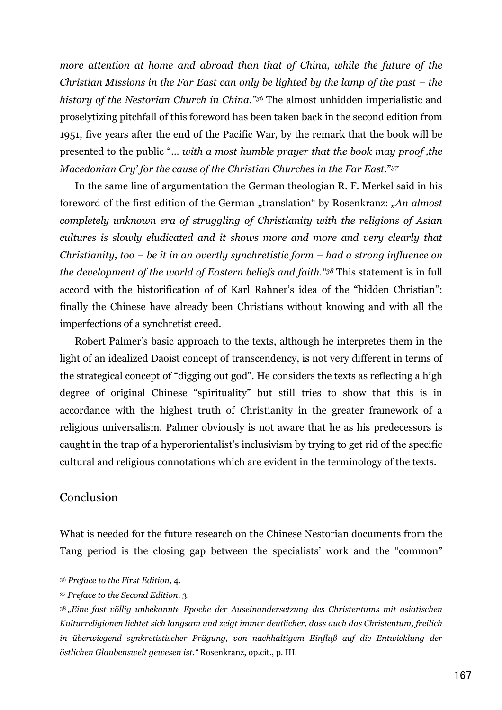more attention at home and abroad than that of China, while the future of the Christian Missions in the Far East can only be lighted by the lamp of the past  $-$  the history of the Nestorian Church in China."36 The almost unhidden imperialistic and proselytizing pitchfall of this foreword has been taken back in the second edition from 1951, five years after the end of the Pacific War, by the remark that the book will be presented to the public "... with a most humble prayer that the book may proof, the Macedonian Cry' for the cause of the Christian Churches in the Far East."37

In the same line of argumentation the German theologian R. F. Merkel said in his foreword of the first edition of the German "translation" by Rosenkranz: "An almost completely unknown era of struggling of Christianity with the religions of Asian cultures is slowly eludicated and it shows more and more and very clearly that Christianity, too  $-$  be it in an overtly synchretistic form  $-$  had a strong influence on the development of the world of Eastern beliefs and faith. "38 This statement is in full accord with the historification of of Karl Rahner's idea of the "hidden Christian": finally the Chinese have already been Christians without knowing and with all the imperfections of a synchretist creed.

Robert Palmer's basic approach to the texts, although he interpretes them in the light of an idealized Daoist concept of transcendency, is not very different in terms of the strategical concept of "digging out god". He considers the texts as reflecting a high degree of original Chinese "spirituality" but still tries to show that this is in accordance with the highest truth of Christianity in the greater framework of a religious universalism. Palmer obviously is not aware that he as his predecessors is caught in the trap of a hyperorientalist's inclusivism by trying to get rid of the specific cultural and religious connotations which are evident in the terminology of the texts.

#### Conclusion

What is needed for the future research on the Chinese Nestorian documents from the Tang period is the closing gap between the specialists' work and the "common"

<sup>&</sup>lt;sup>36</sup> Preface to the First Edition, 4.

<sup>37</sup> Preface to the Second Edition, 3.

<sup>38 &</sup>quot;Eine fast völlig unbekannte Epoche der Auseinandersetzung des Christentums mit asiatischen Kulturreligionen lichtet sich langsam und zeigt immer deutlicher, dass auch das Christentum, freilich in überwiegend synkretistischer Prägung, von nachhaltigem Einfluß auf die Entwicklung der östlichen Glaubenswelt gewesen ist." Rosenkranz, op.cit., p. III.